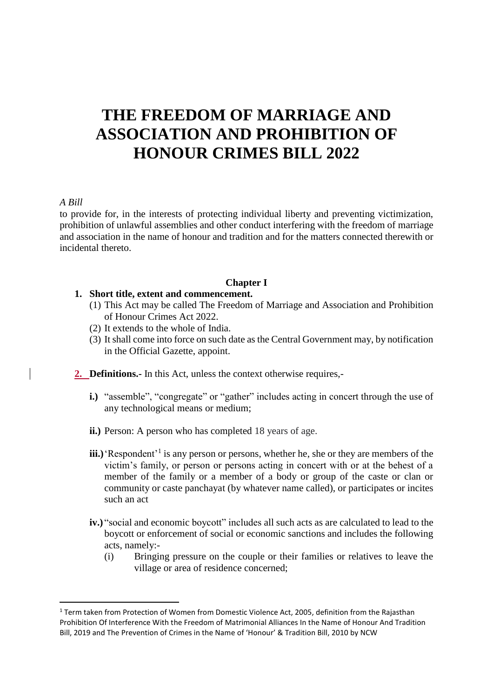# **THE FREEDOM OF MARRIAGE AND ASSOCIATION AND PROHIBITION OF HONOUR CRIMES BILL 2022**

#### *A Bill*

l

to provide for, in the interests of protecting individual liberty and preventing victimization, prohibition of unlawful assemblies and other conduct interfering with the freedom of marriage and association in the name of honour and tradition and for the matters connected therewith or incidental thereto.

#### **Chapter I**

#### **1. Short title, extent and commencement.**

- (1) This Act may be called The Freedom of Marriage and Association and Prohibition of Honour Crimes Act 2022.
- (2) It extends to the whole of India.
- (3) It shall come into force on such date as the Central Government may, by notification in the Official Gazette, appoint.
- **2. Definitions.-** In this Act, unless the context otherwise requires,
	- **i.**) "assemble", "congregate" or "gather" includes acting in concert through the use of any technological means or medium;
	- **ii.)** Person: A person who has completed 18 years of age.
	- iii.) Respondent<sup>'1</sup> is any person or persons, whether he, she or they are members of the victim's family, or person or persons acting in concert with or at the behest of a member of the family or a member of a body or group of the caste or clan or community or caste panchayat (by whatever name called), or participates or incites such an act
	- **iv.)** "social and economic boycott" includes all such acts as are calculated to lead to the boycott or enforcement of social or economic sanctions and includes the following acts, namely:-
		- (i) Bringing pressure on the couple or their families or relatives to leave the village or area of residence concerned;

 $1$  Term taken from Protection of Women from Domestic Violence Act, 2005, definition from the Rajasthan Prohibition Of Interference With the Freedom of Matrimonial Alliances In the Name of Honour And Tradition Bill, 2019 and The Prevention of Crimes in the Name of 'Honour' & Tradition Bill, 2010 by NCW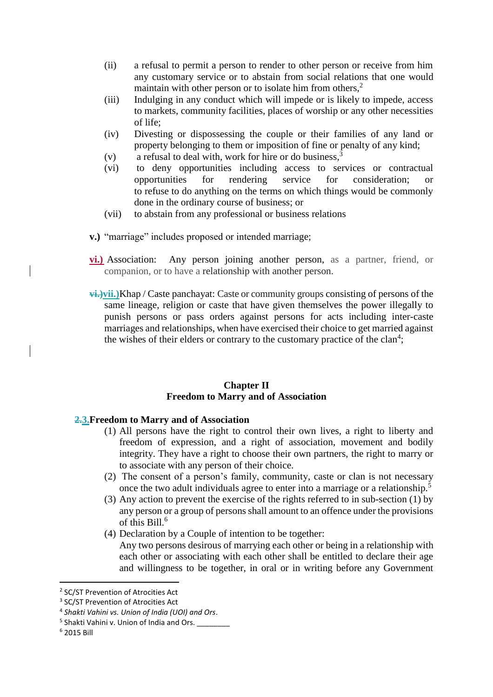- (ii) a refusal to permit a person to render to other person or receive from him any customary service or to abstain from social relations that one would maintain with other person or to isolate him from others,<sup>2</sup>
- (iii) Indulging in any conduct which will impede or is likely to impede, access to markets, community facilities, places of worship or any other necessities of life;
- (iv) Divesting or dispossessing the couple or their families of any land or property belonging to them or imposition of fine or penalty of any kind;
- (v) a refusal to deal with, work for hire or do business,<sup>3</sup>
- (vi) to deny opportunities including access to services or contractual opportunities for rendering service for consideration; or to refuse to do anything on the terms on which things would be commonly done in the ordinary course of business; or
- (vii) to abstain from any professional or business relations
- **v.)** "marriage" includes proposed or intended marriage;
- **vi.)** Association: Any person joining another person, as a partner, friend, or companion, or to have a relationship with another person.
- **vi.)vii.)**Khap / Caste panchayat: Caste or community groups consisting of persons of the same lineage, religion or caste that have given themselves the power illegally to punish persons or pass orders against persons for acts including inter-caste marriages and relationships, when have exercised their choice to get married against the wishes of their elders or contrary to the customary practice of the clan<sup>4</sup>;

#### **Chapter II Freedom to Marry and of Association**

#### **2.3.Freedom to Marry and of Association**

- (1) All persons have the right to control their own lives, a right to liberty and freedom of expression, and a right of association, movement and bodily integrity. They have a right to choose their own partners, the right to marry or to associate with any person of their choice.
- (2) The consent of a person's family, community, caste or clan is not necessary once the two adult individuals agree to enter into a marriage or a relationship.<sup>5</sup>
- (3) Any action to prevent the exercise of the rights referred to in sub-section (1) by any person or a group of persons shall amount to an offence under the provisions of this Bill.<sup>6</sup>
- (4) Declaration by a Couple of intention to be together: Any two persons desirous of marrying each other or being in a relationship with each other or associating with each other shall be entitled to declare their age and willingness to be together, in oral or in writing before any Government

l

<sup>&</sup>lt;sup>2</sup> SC/ST Prevention of Atrocities Act

<sup>&</sup>lt;sup>3</sup> SC/ST Prevention of Atrocities Act

<sup>4</sup> *Shakti Vahini vs. Union of India (UOI) and Ors*.

<sup>&</sup>lt;sup>5</sup> Shakti Vahini v. Union of India and Ors. \_\_\_\_\_\_\_\_\_

<sup>6</sup> 2015 Bill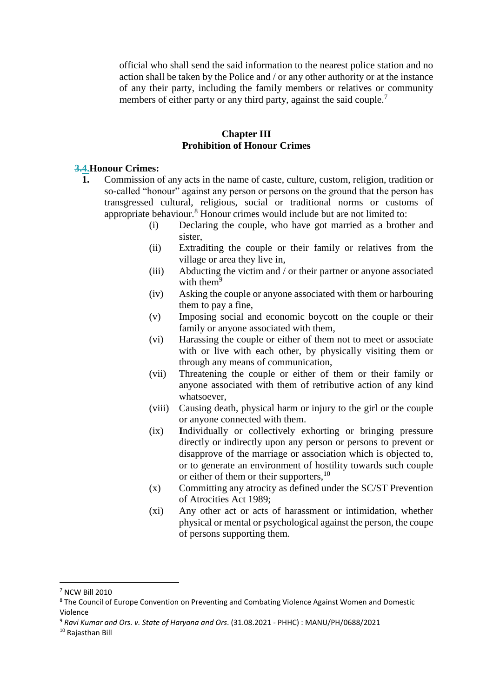official who shall send the said information to the nearest police station and no action shall be taken by the Police and / or any other authority or at the instance of any their party, including the family members or relatives or community members of either party or any third party, against the said couple.<sup>7</sup>

#### **Chapter III Prohibition of Honour Crimes**

#### **3.4.Honour Crimes:**

- **1.** Commission of any acts in the name of caste, culture, custom, religion, tradition or so-called "honour" against any person or persons on the ground that the person has transgressed cultural, religious, social or traditional norms or customs of appropriate behaviour.<sup>8</sup> Honour crimes would include but are not limited to:
	- (i) Declaring the couple, who have got married as a brother and sister,
	- (ii) Extraditing the couple or their family or relatives from the village or area they live in,
	- (iii) Abducting the victim and / or their partner or anyone associated with them $9$
	- (iv) Asking the couple or anyone associated with them or harbouring them to pay a fine,
	- (v) Imposing social and economic boycott on the couple or their family or anyone associated with them,
	- (vi) Harassing the couple or either of them not to meet or associate with or live with each other, by physically visiting them or through any means of communication,
	- (vii) Threatening the couple or either of them or their family or anyone associated with them of retributive action of any kind whatsoever,
	- (viii) Causing death, physical harm or injury to the girl or the couple or anyone connected with them.
	- (ix) **I**ndividually or collectively exhorting or bringing pressure directly or indirectly upon any person or persons to prevent or disapprove of the marriage or association which is objected to, or to generate an environment of hostility towards such couple or either of them or their supporters,<sup>10</sup>
	- (x) Committing any atrocity as defined under the SC/ST Prevention of Atrocities Act 1989;
	- (xi) Any other act or acts of harassment or intimidation, whether physical or mental or psychological against the person, the coupe of persons supporting them.

l

<sup>7</sup> NCW Bill 2010

<sup>&</sup>lt;sup>8</sup> The Council of Europe Convention on Preventing and Combating Violence Against Women and Domestic Violence

<sup>9</sup> *Ravi Kumar and Ors. v. State of Haryana and Ors*. (31.08.2021 - PHHC) : MANU/PH/0688/2021

<sup>10</sup> Rajasthan Bill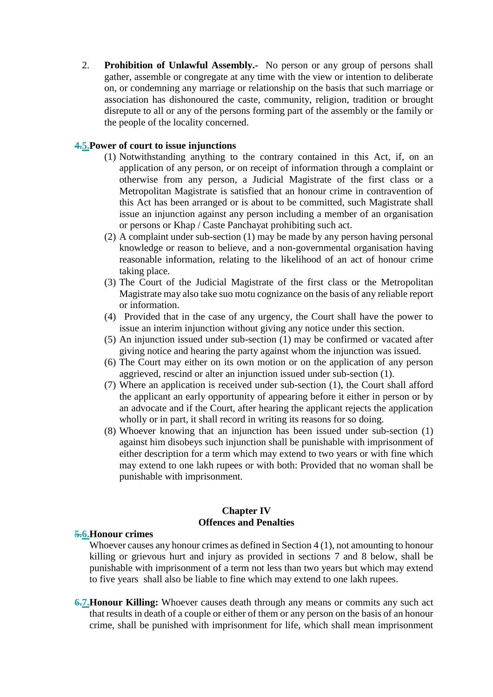2. **Prohibition of Unlawful Assembly.-** No person or any group of persons shall gather, assemble or congregate at any time with the view or intention to deliberate on, or condemning any marriage or relationship on the basis that such marriage or association has dishonoured the caste, community, religion, tradition or brought disrepute to all or any of the persons forming part of the assembly or the family or the people of the locality concerned.

## **4.5.Power of court to issue injunctions**

- (1) Notwithstanding anything to the contrary contained in this Act, if, on an application of any person, or on receipt of information through a complaint or otherwise from any person, a Judicial Magistrate of the first class or a Metropolitan Magistrate is satisfied that an honour crime in contravention of this Act has been arranged or is about to be committed, such Magistrate shall issue an injunction against any person including a member of an organisation or persons or Khap / Caste Panchayat prohibiting such act.
- (2) A complaint under sub-section (1) may be made by any person having personal knowledge or reason to believe, and a non-governmental organisation having reasonable information, relating to the likelihood of an act of honour crime taking place.
- (3) The Court of the Judicial Magistrate of the first class or the Metropolitan Magistrate may also take suo motu cognizance on the basis of any reliable report or information.
- (4) Provided that in the case of any urgency, the Court shall have the power to issue an interim injunction without giving any notice under this section.
- (5) An injunction issued under sub-section (1) may be confirmed or vacated after giving notice and hearing the party against whom the injunction was issued.
- (6) The Court may either on its own motion or on the application of any person aggrieved, rescind or alter an injunction issued under sub-section (1).
- (7) Where an application is received under sub-section (1), the Court shall afford the applicant an early opportunity of appearing before it either in person or by an advocate and if the Court, after hearing the applicant rejects the application wholly or in part, it shall record in writing its reasons for so doing.
- (8) Whoever knowing that an injunction has been issued under sub-section (1) against him disobeys such injunction shall be punishable with imprisonment of either description for a term which may extend to two years or with fine which may extend to one lakh rupees or with both: Provided that no woman shall be punishable with imprisonment.

#### **Chapter IV Offences and Penalties**

#### **5.6.Honour crimes**

Whoever causes any honour crimes as defined in Section 4 (1), not amounting to honour killing or grievous hurt and injury as provided in sections 7 and 8 below, shall be punishable with imprisonment of a term not less than two years but which may extend to five years shall also be liable to fine which may extend to one lakh rupees.

**6.7. Honour Killing:** Whoever causes death through any means or commits any such act that results in death of a couple or either of them or any person on the basis of an honour crime, shall be punished with imprisonment for life, which shall mean imprisonment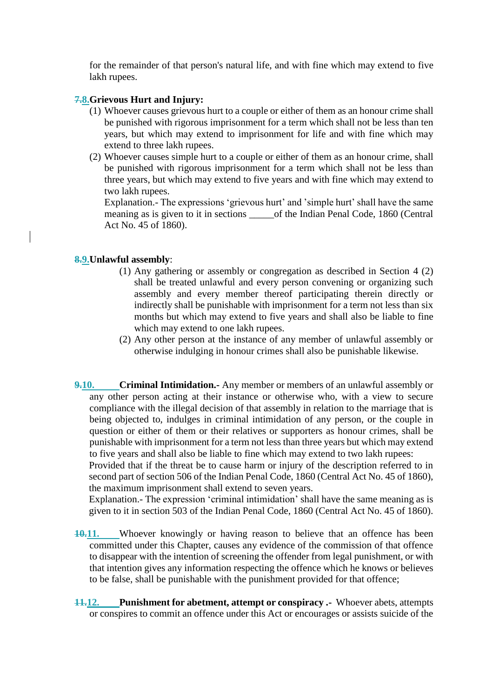for the remainder of that person's natural life, and with fine which may extend to five lakh rupees.

#### **7.8.Grievous Hurt and Injury:**

- (1) Whoever causes grievous hurt to a couple or either of them as an honour crime shall be punished with rigorous imprisonment for a term which shall not be less than ten years, but which may extend to imprisonment for life and with fine which may extend to three lakh rupees.
- (2) Whoever causes simple hurt to a couple or either of them as an honour crime, shall be punished with rigorous imprisonment for a term which shall not be less than three years, but which may extend to five years and with fine which may extend to two lakh rupees.

Explanation.- The expressions 'grievous hurt' and 'simple hurt' shall have the same meaning as is given to it in sections of the Indian Penal Code, 1860 (Central Act No. 45 of 1860).

#### **8.9.Unlawful assembly**:

- (1) Any gathering or assembly or congregation as described in Section 4 (2) shall be treated unlawful and every person convening or organizing such assembly and every member thereof participating therein directly or indirectly shall be punishable with imprisonment for a term not less than six months but which may extend to five years and shall also be liable to fine which may extend to one lakh rupees.
- (2) Any other person at the instance of any member of unlawful assembly or otherwise indulging in honour crimes shall also be punishable likewise.
- **9.10. Criminal Intimidation.-** Any member or members of an unlawful assembly or any other person acting at their instance or otherwise who, with a view to secure compliance with the illegal decision of that assembly in relation to the marriage that is being objected to, indulges in criminal intimidation of any person, or the couple in question or either of them or their relatives or supporters as honour crimes, shall be punishable with imprisonment for a term not less than three years but which may extend to five years and shall also be liable to fine which may extend to two lakh rupees:

Provided that if the threat be to cause harm or injury of the description referred to in second part of section 506 of the Indian Penal Code, 1860 (Central Act No. 45 of 1860), the maximum imprisonment shall extend to seven years.

Explanation.- The expression 'criminal intimidation' shall have the same meaning as is given to it in section 503 of the Indian Penal Code, 1860 (Central Act No. 45 of 1860).

- **10.11.** Whoever knowingly or having reason to believe that an offence has been committed under this Chapter, causes any evidence of the commission of that offence to disappear with the intention of screening the offender from legal punishment, or with that intention gives any information respecting the offence which he knows or believes to be false, shall be punishable with the punishment provided for that offence;
- **11.12. Punishment for abetment, attempt or conspiracy .-** Whoever abets, attempts or conspires to commit an offence under this Act or encourages or assists suicide of the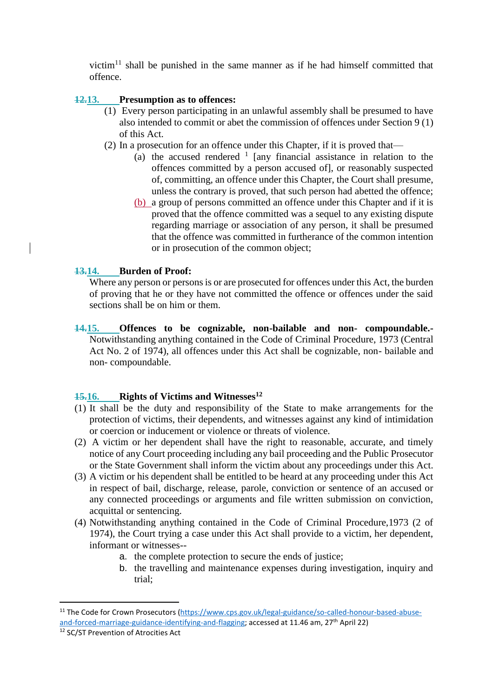victim $11$  shall be punished in the same manner as if he had himself committed that offence.

## **12.13. Presumption as to offences:**

- (1) Every person participating in an unlawful assembly shall be presumed to have also intended to commit or abet the commission of offences under Section 9 (1) of this Act.
- (2) In a prosecution for an offence under this Chapter, if it is proved that—
	- (a) the accused rendered  $1$  [any financial assistance in relation to the offences committed by a person accused of], or reasonably suspected of, committing, an offence under this Chapter, the Court shall presume, unless the contrary is proved, that such person had abetted the offence;
	- (b) a group of persons committed an offence under this Chapter and if it is proved that the offence committed was a sequel to any existing dispute regarding marriage or association of any person, it shall be presumed that the offence was committed in furtherance of the common intention or in prosecution of the common object;

## **13.14. Burden of Proof:**

Where any person or persons is or are prosecuted for offences under this Act, the burden of proving that he or they have not committed the offence or offences under the said sections shall be on him or them.

**14.15. Offences to be cognizable, non-bailable and non- compoundable.-** Notwithstanding anything contained in the Code of Criminal Procedure, 1973 (Central Act No. 2 of 1974), all offences under this Act shall be cognizable, non- bailable and non- compoundable.

#### **15.16. Rights of Victims and Witnesses<sup>12</sup>**

- (1) It shall be the duty and responsibility of the State to make arrangements for the protection of victims, their dependents, and witnesses against any kind of intimidation or coercion or inducement or violence or threats of violence.
- (2) A victim or her dependent shall have the right to reasonable, accurate, and timely notice of any Court proceeding including any bail proceeding and the Public Prosecutor or the State Government shall inform the victim about any proceedings under this Act.
- (3) A victim or his dependent shall be entitled to be heard at any proceeding under this Act in respect of bail, discharge, release, parole, conviction or sentence of an accused or any connected proceedings or arguments and file written submission on conviction, acquittal or sentencing.
- (4) Notwithstanding anything contained in the Code of Criminal Procedure,1973 (2 of 1974), the Court trying a case under this Act shall provide to a victim, her dependent, informant or witnesses-
	- a. the complete protection to secure the ends of justice;
	- b. the travelling and maintenance expenses during investigation, inquiry and trial;

l

<sup>&</sup>lt;sup>11</sup> The Code for Crown Prosecutors [\(https://www.cps.gov.uk/legal-guidance/so-called-honour-based-abuse](https://www.cps.gov.uk/legal-guidance/so-called-honour-based-abuse-and-forced-marriage-guidance-identifying-and-flagging)[and-forced-marriage-guidance-identifying-and-flagging;](https://www.cps.gov.uk/legal-guidance/so-called-honour-based-abuse-and-forced-marriage-guidance-identifying-and-flagging) accessed at 11.46 am, 27<sup>th</sup> April 22)

<sup>12</sup> SC/ST Prevention of Atrocities Act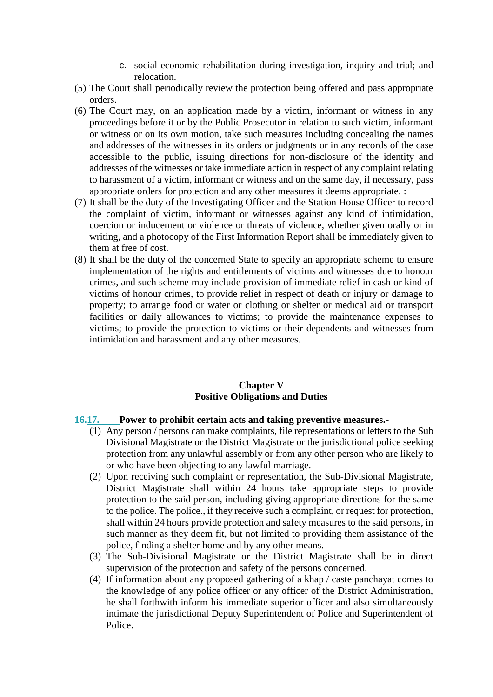- c. social-economic rehabilitation during investigation, inquiry and trial; and relocation.
- (5) The Court shall periodically review the protection being offered and pass appropriate orders.
- (6) The Court may, on an application made by a victim, informant or witness in any proceedings before it or by the Public Prosecutor in relation to such victim, informant or witness or on its own motion, take such measures including concealing the names and addresses of the witnesses in its orders or judgments or in any records of the case accessible to the public, issuing directions for non-disclosure of the identity and addresses of the witnesses or take immediate action in respect of any complaint relating to harassment of a victim, informant or witness and on the same day, if necessary, pass appropriate orders for protection and any other measures it deems appropriate. :
- (7) It shall be the duty of the Investigating Officer and the Station House Officer to record the complaint of victim, informant or witnesses against any kind of intimidation, coercion or inducement or violence or threats of violence, whether given orally or in writing, and a photocopy of the First Information Report shall be immediately given to them at free of cost.
- (8) It shall be the duty of the concerned State to specify an appropriate scheme to ensure implementation of the rights and entitlements of victims and witnesses due to honour crimes, and such scheme may include provision of immediate relief in cash or kind of victims of honour crimes, to provide relief in respect of death or injury or damage to property; to arrange food or water or clothing or shelter or medical aid or transport facilities or daily allowances to victims; to provide the maintenance expenses to victims; to provide the protection to victims or their dependents and witnesses from intimidation and harassment and any other measures.

#### **Chapter V Positive Obligations and Duties**

#### **16.17. Power to prohibit certain acts and taking preventive measures.-**

- (1) Any person / persons can make complaints, file representations or letters to the Sub Divisional Magistrate or the District Magistrate or the jurisdictional police seeking protection from any unlawful assembly or from any other person who are likely to or who have been objecting to any lawful marriage.
- (2) Upon receiving such complaint or representation, the Sub-Divisional Magistrate, District Magistrate shall within 24 hours take appropriate steps to provide protection to the said person, including giving appropriate directions for the same to the police. The police., if they receive such a complaint, or request for protection, shall within 24 hours provide protection and safety measures to the said persons, in such manner as they deem fit, but not limited to providing them assistance of the police, finding a shelter home and by any other means.
- (3) The Sub-Divisional Magistrate or the District Magistrate shall be in direct supervision of the protection and safety of the persons concerned.
- (4) If information about any proposed gathering of a khap / caste panchayat comes to the knowledge of any police officer or any officer of the District Administration, he shall forthwith inform his immediate superior officer and also simultaneously intimate the jurisdictional Deputy Superintendent of Police and Superintendent of Police.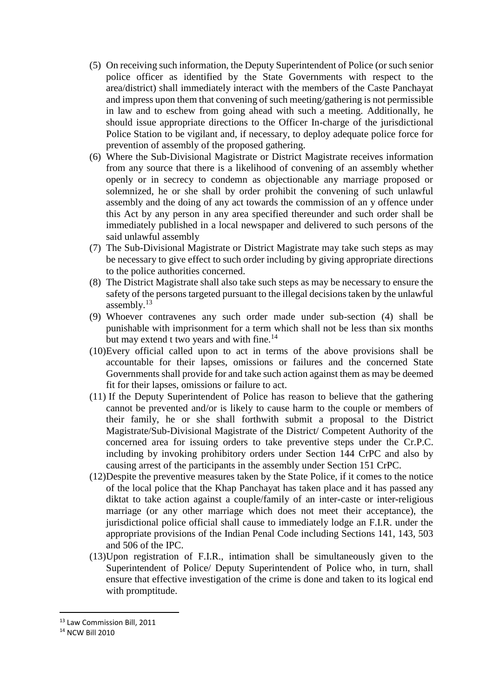- (5) On receiving such information, the Deputy Superintendent of Police (or such senior police officer as identified by the State Governments with respect to the area/district) shall immediately interact with the members of the Caste Panchayat and impress upon them that convening of such meeting/gathering is not permissible in law and to eschew from going ahead with such a meeting. Additionally, he should issue appropriate directions to the Officer In-charge of the jurisdictional Police Station to be vigilant and, if necessary, to deploy adequate police force for prevention of assembly of the proposed gathering.
- (6) Where the Sub-Divisional Magistrate or District Magistrate receives information from any source that there is a likelihood of convening of an assembly whether openly or in secrecy to condemn as objectionable any marriage proposed or solemnized, he or she shall by order prohibit the convening of such unlawful assembly and the doing of any act towards the commission of an y offence under this Act by any person in any area specified thereunder and such order shall be immediately published in a local newspaper and delivered to such persons of the said unlawful assembly
- (7) The Sub-Divisional Magistrate or District Magistrate may take such steps as may be necessary to give effect to such order including by giving appropriate directions to the police authorities concerned.
- (8) The District Magistrate shall also take such steps as may be necessary to ensure the safety of the persons targeted pursuant to the illegal decisions taken by the unlawful assembly.<sup>13</sup>
- (9) Whoever contravenes any such order made under sub-section (4) shall be punishable with imprisonment for a term which shall not be less than six months but may extend t two years and with fine.<sup>14</sup>
- (10)Every official called upon to act in terms of the above provisions shall be accountable for their lapses, omissions or failures and the concerned State Governments shall provide for and take such action against them as may be deemed fit for their lapses, omissions or failure to act.
- (11) If the Deputy Superintendent of Police has reason to believe that the gathering cannot be prevented and/or is likely to cause harm to the couple or members of their family, he or she shall forthwith submit a proposal to the District Magistrate/Sub-Divisional Magistrate of the District/ Competent Authority of the concerned area for issuing orders to take preventive steps under the Cr.P.C. including by invoking prohibitory orders under Section 144 CrPC and also by causing arrest of the participants in the assembly under Section 151 CrPC.
- (12)Despite the preventive measures taken by the State Police, if it comes to the notice of the local police that the Khap Panchayat has taken place and it has passed any diktat to take action against a couple/family of an inter-caste or inter-religious marriage (or any other marriage which does not meet their acceptance), the jurisdictional police official shall cause to immediately lodge an F.I.R. under the appropriate provisions of the Indian Penal Code including Sections 141, 143, 503 and 506 of the IPC.
- (13)Upon registration of F.I.R., intimation shall be simultaneously given to the Superintendent of Police/ Deputy Superintendent of Police who, in turn, shall ensure that effective investigation of the crime is done and taken to its logical end with promptitude.

 $\overline{a}$ 

<sup>13</sup> Law Commission Bill, 2011

<sup>14</sup> NCW Bill 2010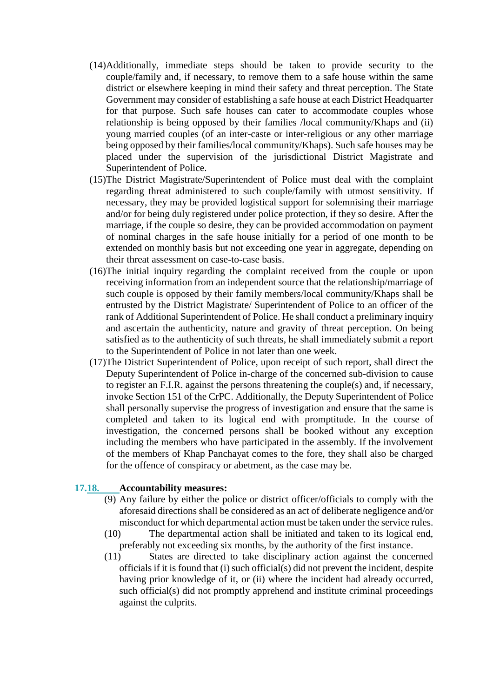- (14)Additionally, immediate steps should be taken to provide security to the couple/family and, if necessary, to remove them to a safe house within the same district or elsewhere keeping in mind their safety and threat perception. The State Government may consider of establishing a safe house at each District Headquarter for that purpose. Such safe houses can cater to accommodate couples whose relationship is being opposed by their families /local community/Khaps and (ii) young married couples (of an inter-caste or inter-religious or any other marriage being opposed by their families/local community/Khaps). Such safe houses may be placed under the supervision of the jurisdictional District Magistrate and Superintendent of Police.
- (15)The District Magistrate/Superintendent of Police must deal with the complaint regarding threat administered to such couple/family with utmost sensitivity. If necessary, they may be provided logistical support for solemnising their marriage and/or for being duly registered under police protection, if they so desire. After the marriage, if the couple so desire, they can be provided accommodation on payment of nominal charges in the safe house initially for a period of one month to be extended on monthly basis but not exceeding one year in aggregate, depending on their threat assessment on case-to-case basis.
- (16)The initial inquiry regarding the complaint received from the couple or upon receiving information from an independent source that the relationship/marriage of such couple is opposed by their family members/local community/Khaps shall be entrusted by the District Magistrate/ Superintendent of Police to an officer of the rank of Additional Superintendent of Police. He shall conduct a preliminary inquiry and ascertain the authenticity, nature and gravity of threat perception. On being satisfied as to the authenticity of such threats, he shall immediately submit a report to the Superintendent of Police in not later than one week.
- (17)The District Superintendent of Police, upon receipt of such report, shall direct the Deputy Superintendent of Police in-charge of the concerned sub-division to cause to register an F.I.R. against the persons threatening the couple(s) and, if necessary, invoke Section 151 of the CrPC. Additionally, the Deputy Superintendent of Police shall personally supervise the progress of investigation and ensure that the same is completed and taken to its logical end with promptitude. In the course of investigation, the concerned persons shall be booked without any exception including the members who have participated in the assembly. If the involvement of the members of Khap Panchayat comes to the fore, they shall also be charged for the offence of conspiracy or abetment, as the case may be.

#### **17.18. Accountability measures:**

- (9) Any failure by either the police or district officer/officials to comply with the aforesaid directions shall be considered as an act of deliberate negligence and/or misconduct for which departmental action must be taken under the service rules.
- (10) The departmental action shall be initiated and taken to its logical end, preferably not exceeding six months, by the authority of the first instance.
- (11) States are directed to take disciplinary action against the concerned officials if it is found that (i) such official(s) did not prevent the incident, despite having prior knowledge of it, or (ii) where the incident had already occurred, such official(s) did not promptly apprehend and institute criminal proceedings against the culprits.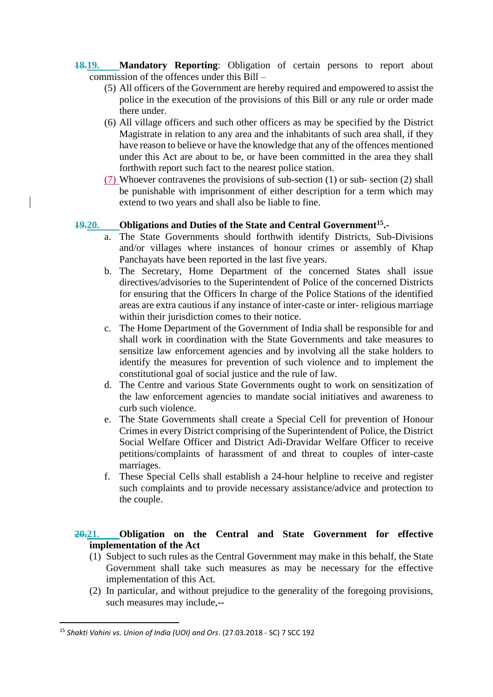- **18.19. Mandatory Reporting**: Obligation of certain persons to report about commission of the offences under this Bill –
	- (5) All officers of the Government are hereby required and empowered to assist the police in the execution of the provisions of this Bill or any rule or order made there under.
	- (6) All village officers and such other officers as may be specified by the District Magistrate in relation to any area and the inhabitants of such area shall, if they have reason to believe or have the knowledge that any of the offences mentioned under this Act are about to be, or have been committed in the area they shall forthwith report such fact to the nearest police station.
	- (7) Whoever contravenes the provisions of sub-section (1) or sub- section (2) shall be punishable with imprisonment of either description for a term which may extend to two years and shall also be liable to fine.

# **19.20. Obligations and Duties of the State and Central Government<sup>15</sup> .-**

- a. The State Governments should forthwith identify Districts, Sub-Divisions and/or villages where instances of honour crimes or assembly of Khap Panchayats have been reported in the last five years.
- b. The Secretary, Home Department of the concerned States shall issue directives/advisories to the Superintendent of Police of the concerned Districts for ensuring that the Officers In charge of the Police Stations of the identified areas are extra cautious if any instance of inter-caste or inter- religious marriage within their jurisdiction comes to their notice.
- c. The Home Department of the Government of India shall be responsible for and shall work in coordination with the State Governments and take measures to sensitize law enforcement agencies and by involving all the stake holders to identify the measures for prevention of such violence and to implement the constitutional goal of social justice and the rule of law.
- d. The Centre and various State Governments ought to work on sensitization of the law enforcement agencies to mandate social initiatives and awareness to curb such violence.
- e. The State Governments shall create a Special Cell for prevention of Honour Crimes in every District comprising of the Superintendent of Police, the District Social Welfare Officer and District Adi-Dravidar Welfare Officer to receive petitions/complaints of harassment of and threat to couples of inter-caste marriages.
- f. These Special Cells shall establish a 24-hour helpline to receive and register such complaints and to provide necessary assistance/advice and protection to the couple.

# **20.21. Obligation on the Central and State Government for effective implementation of the Act**

- (1) Subject to such rules as the Central Government may make in this behalf, the State Government shall take such measures as may be necessary for the effective implementation of this Act.
- (2) In particular, and without prejudice to the generality of the foregoing provisions, such measures may include,--

 $\overline{a}$ <sup>15</sup> *Shakti Vahini vs. Union of India (UOI) and Ors*. (27.03.2018 - SC) 7 SCC 192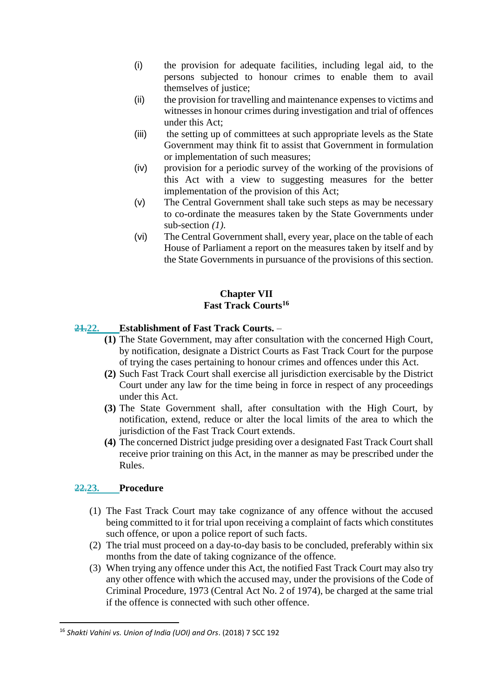- (i) the provision for adequate facilities, including legal aid, to the persons subjected to honour crimes to enable them to avail themselves of justice;
- (ii) the provision for travelling and maintenance expenses to victims and witnesses in honour crimes during investigation and trial of offences under this Act;
- (iii) the setting up of committees at such appropriate levels as the State Government may think fit to assist that Government in formulation or implementation of such measures;
- (iv) provision for a periodic survey of the working of the provisions of this Act with a view to suggesting measures for the better implementation of the provision of this Act;
- (v) The Central Government shall take such steps as may be necessary to co-ordinate the measures taken by the State Governments under sub-section *(1)*.
- (vi) The Central Government shall, every year, place on the table of each House of Parliament a report on the measures taken by itself and by the State Governments in pursuance of the provisions of this section.

## **Chapter VII Fast Track Courts<sup>16</sup>**

# **21.22. Establishment of Fast Track Courts.** –

- **(1)** The State Government, may after consultation with the concerned High Court, by notification, designate a District Courts as Fast Track Court for the purpose of trying the cases pertaining to honour crimes and offences under this Act.
- **(2)** Such Fast Track Court shall exercise all jurisdiction exercisable by the District Court under any law for the time being in force in respect of any proceedings under this Act.
- **(3)** The State Government shall, after consultation with the High Court, by notification, extend, reduce or alter the local limits of the area to which the jurisdiction of the Fast Track Court extends.
- **(4)** The concerned District judge presiding over a designated Fast Track Court shall receive prior training on this Act, in the manner as may be prescribed under the Rules.

# **22.23. Procedure**

- (1) The Fast Track Court may take cognizance of any offence without the accused being committed to it for trial upon receiving a complaint of facts which constitutes such offence, or upon a police report of such facts.
- (2) The trial must proceed on a day-to-day basis to be concluded, preferably within six months from the date of taking cognizance of the offence.
- (3) When trying any offence under this Act, the notified Fast Track Court may also try any other offence with which the accused may, under the provisions of the Code of Criminal Procedure, 1973 (Central Act No. 2 of 1974), be charged at the same trial if the offence is connected with such other offence.

 $\overline{a}$ <sup>16</sup> *Shakti Vahini vs. Union of India (UOI) and Ors*. (2018) 7 SCC 192